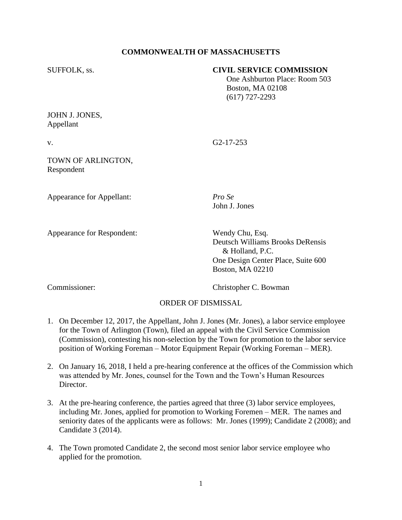## **COMMONWEALTH OF MASSACHUSETTS**

### SUFFOLK, ss. **CIVIL SERVICE COMMISSION**

 One Ashburton Place: Room 503 Boston, MA 02108 (617) 727-2293

## JOHN J. JONES, Appellant

v. G2-17-253

John J. Jones

## TOWN OF ARLINGTON, Respondent

Appearance for Appellant: *Pro Se*

Appearance for Respondent: Wendy Chu, Esq.

Deutsch Williams Brooks DeRensis  $&$  Holland, P.C.

One Design Center Place, Suite 600 Boston, MA 02210

Commissioner: Christopher C. Bowman

# ORDER OF DISMISSAL

- 1. On December 12, 2017, the Appellant, John J. Jones (Mr. Jones), a labor service employee for the Town of Arlington (Town), filed an appeal with the Civil Service Commission (Commission), contesting his non-selection by the Town for promotion to the labor service position of Working Foreman – Motor Equipment Repair (Working Foreman – MER).
- 2. On January 16, 2018, I held a pre-hearing conference at the offices of the Commission which was attended by Mr. Jones, counsel for the Town and the Town's Human Resources Director.
- 3. At the pre-hearing conference, the parties agreed that three (3) labor service employees, including Mr. Jones, applied for promotion to Working Foremen – MER. The names and seniority dates of the applicants were as follows: Mr. Jones (1999); Candidate 2 (2008); and Candidate 3 (2014).
- 4. The Town promoted Candidate 2, the second most senior labor service employee who applied for the promotion.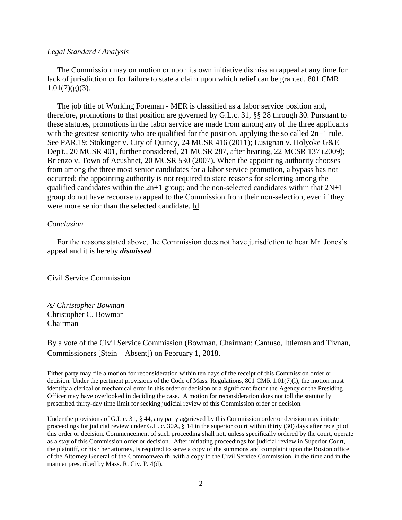#### *Legal Standard / Analysis*

 The Commission may on motion or upon its own initiative dismiss an appeal at any time for lack of jurisdiction or for failure to state a claim upon which relief can be granted. 801 CMR  $1.01(7)(g)(3)$ .

 The job title of Working Foreman - MER is classified as a [l](http://sll.gvpi.net/document.php?id=csc:0025888-0000000&type=hitlist&num=15#hit10)abor servic[e](http://sll.gvpi.net/document.php?id=csc:0025888-0000000&type=hitlist&num=15#hit13) position and, therefore, promotions to that position are governed by G.L.c. 31, §§ 28 through 30. Pursuant to these statutes, promotions in thelabor service are made from among any of the three applicants with the greatest seniority who are qualified for the position, applying the so called  $2n+1$  rule. See PAR.19; Stokinger v. City of Quincy, 24 MCSR 416 (2011); Lusignan v. Holyoke G&E Dep't., 20 MCSR 401, further considered, 21 MCSR 287, after hearing, 22 MCSR 137 (2009); Brienzo v. Town of Acushnet, 20 MCSR 530 (2007). When the appointing authority chooses from among the three most senior candidates for a labor service promotion, a bypass has not occurred; the appointing authority is not required to state reasons for selecting among the qualified candidates within the  $2n+1$  group; and the non-selected candidates within that  $2N+1$ group do not have recourse to appeal to the Commission from their non-selection, even if they were more senior than the selected candidate. Id.

### *Conclusion*

 For the reasons stated above, the Commission does not have jurisdiction to hear Mr. Jones's appeal and it is hereby *dismissed*.

Civil Service Commission

### */s/ Christopher Bowman* Christopher C. Bowman Chairman

By a vote of the Civil Service Commission (Bowman, Chairman; Camuso, Ittleman and Tivnan, Commissioners [Stein – Absent]) on February 1, 2018.

Either party may file a motion for reconsideration within ten days of the receipt of this Commission order or decision. Under the pertinent provisions of the Code of Mass. Regulations, 801 CMR 1.01(7)(l), the motion must identify a clerical or mechanical error in this order or decision or a significant factor the Agency or the Presiding Officer may have overlooked in deciding the case. A motion for reconsideration does not toll the statutorily prescribed thirty-day time limit for seeking judicial review of this Commission order or decision.

Under the provisions of G.L c. 31, § 44, any party aggrieved by this Commission order or decision may initiate proceedings for judicial review under G.L. c. 30A, § 14 in the superior court within thirty (30) days after receipt of this order or decision. Commencement of such proceeding shall not, unless specifically ordered by the court, operate as a stay of this Commission order or decision. After initiating proceedings for judicial review in Superior Court, the plaintiff, or his / her attorney, is required to serve a copy of the summons and complaint upon the Boston office of the Attorney General of the Commonwealth, with a copy to the Civil Service Commission, in the time and in the manner prescribed by Mass. R. Civ. P. 4(d).